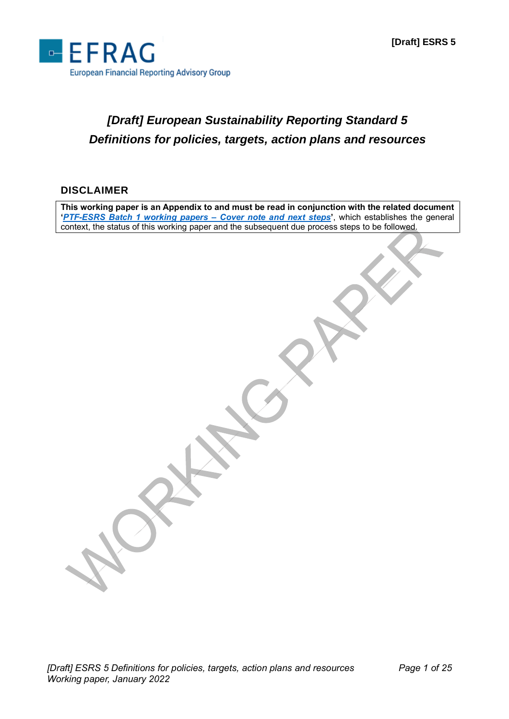

# *[Draft] European Sustainability Reporting Standard 5 Definitions for policies, targets, action plans and resources*

#### **DISCLAIMER**

**This working paper is an Appendix to and must be read in conjunction with the related document '***[PTF-ESRS Batch 1 working papers –](http://www.efrag.org/Assets/Download?assetUrl=/sites/webpublishing/SiteAssets/Cover%20note%20for%20Batch%201%20WPs.pdf) Cover note and next steps***'**, which establishes the general context, the status of this working paper and the subsequent due process steps to be followed.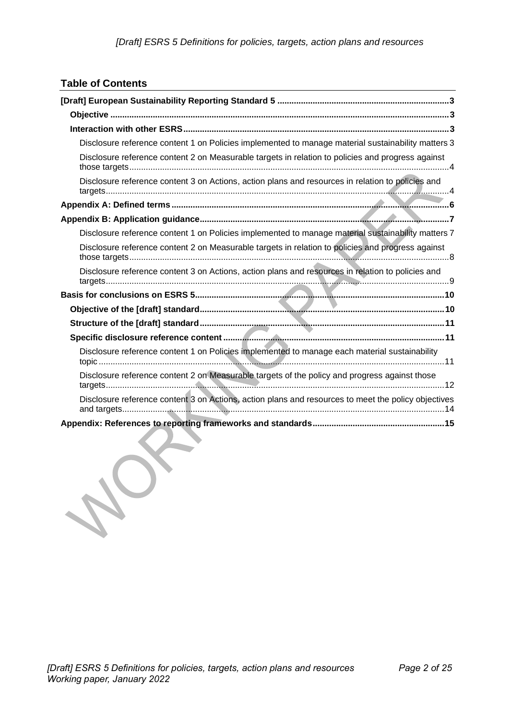### **Table of Contents**

| Disclosure reference content 1 on Policies implemented to manage material sustainability matters 3  |
|-----------------------------------------------------------------------------------------------------|
| Disclosure reference content 2 on Measurable targets in relation to policies and progress against   |
| Disclosure reference content 3 on Actions, action plans and resources in relation to policies and   |
|                                                                                                     |
|                                                                                                     |
| Disclosure reference content 1 on Policies implemented to manage material sustainability matters 7  |
| Disclosure reference content 2 on Measurable targets in relation to policies and progress against   |
| Disclosure reference content 3 on Actions, action plans and resources in relation to policies and   |
|                                                                                                     |
|                                                                                                     |
|                                                                                                     |
|                                                                                                     |
| Disclosure reference content 1 on Policies implemented to manage each material sustainability       |
| Disclosure reference content 2 on Measurable targets of the policy and progress against those       |
| Disclosure reference content 3 on Actions, action plans and resources to meet the policy objectives |
|                                                                                                     |

JOF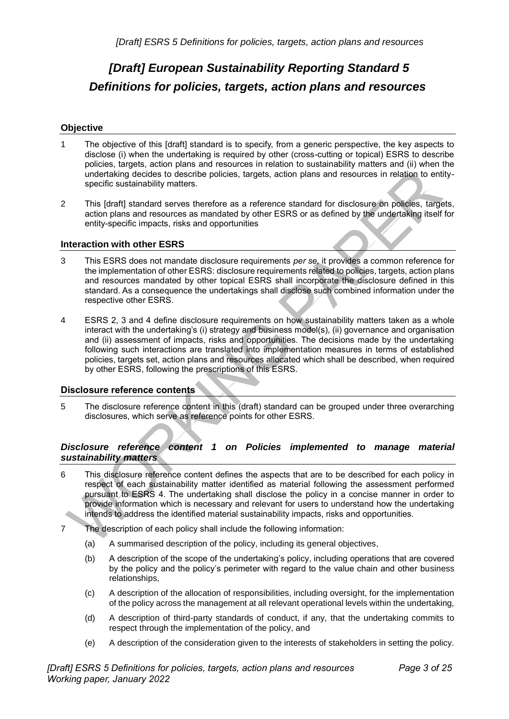# <span id="page-2-0"></span>*[Draft] European Sustainability Reporting Standard 5 Definitions for policies, targets, action plans and resources*

#### <span id="page-2-1"></span>**Objective**

- 1 The objective of this [draft] standard is to specify, from a generic perspective, the key aspects to disclose (i) when the undertaking is required by other (cross-cutting or topical) ESRS to describe policies, targets, action plans and resources in relation to sustainability matters and (ii) when the undertaking decides to describe policies, targets, action plans and resources in relation to entityspecific sustainability matters.
- 2 This [draft] standard serves therefore as a reference standard for disclosure on policies, targets, action plans and resources as mandated by other ESRS or as defined by the undertaking itself for entity-specific impacts, risks and opportunities

#### <span id="page-2-2"></span>**Interaction with other ESRS**

- 3 This ESRS does not mandate disclosure requirements *per se,* it provides a common reference for the implementation of other ESRS: disclosure requirements related to policies, targets, action plans and resources mandated by other topical ESRS shall incorporate the disclosure defined in this standard. As a consequence the undertakings shall disclose such combined information under the respective other ESRS.
- 4 ESRS 2, 3 and 4 define disclosure requirements on how sustainability matters taken as a whole interact with the undertaking's (i) strategy and business model(s), (ii) governance and organisation and (ii) assessment of impacts, risks and opportunities. The decisions made by the undertaking following such interactions are translated into implementation measures in terms of established policies, targets set, action plans and resources allocated which shall be described, when required by other ESRS, following the prescriptions of this ESRS.

#### **Disclosure reference contents**

5 The disclosure reference content in this (draft) standard can be grouped under three overarching disclosures, which serve as reference points for other ESRS.

#### <span id="page-2-3"></span>*Disclosure reference content 1 on Policies implemented to manage material sustainability matters*

- 6 This disclosure reference content defines the aspects that are to be described for each policy in respect of each sustainability matter identified as material following the assessment performed pursuant to ESRS 4. The undertaking shall disclose the policy in a concise manner in order to provide information which is necessary and relevant for users to understand how the undertaking intends to address the identified material sustainability impacts, risks and opportunities.
- 7 The description of each policy shall include the following information:
	- (a) A summarised description of the policy, including its general objectives,
	- (b) A description of the scope of the undertaking's policy, including operations that are covered by the policy and the policy's perimeter with regard to the value chain and other business relationships,
	- (c) A description of the allocation of responsibilities, including oversight, for the implementation of the policy across the management at all relevant operational levels within the undertaking,
	- (d) A description of third-party standards of conduct, if any, that the undertaking commits to respect through the implementation of the policy, and
	- (e) A description of the consideration given to the interests of stakeholders in setting the policy.

*[Draft] ESRS 5 Definitions for policies, targets, action plans and resources Working paper, January 2022*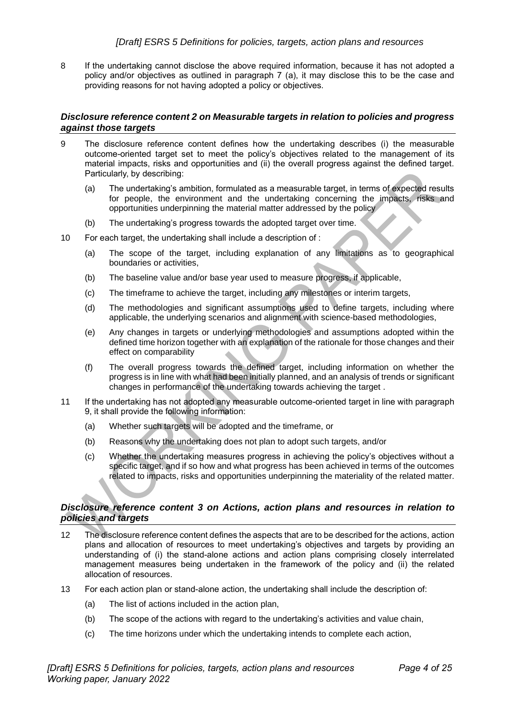8 If the undertaking cannot disclose the above required information, because it has not adopted a policy and/or objectives as outlined in paragraph 7 (a), it may disclose this to be the case and providing reasons for not having adopted a policy or objectives.

#### <span id="page-3-0"></span>*Disclosure reference content 2 on Measurable targets in relation to policies and progress against those targets*

- 9 The disclosure reference content defines how the undertaking describes (i) the measurable outcome-oriented target set to meet the policy's objectives related to the management of its material impacts, risks and opportunities and (ii) the overall progress against the defined target. Particularly, by describing:
	- (a) The undertaking's ambition, formulated as a measurable target, in terms of expected results for people, the environment and the undertaking concerning the impacts, risks and opportunities underpinning the material matter addressed by the policy
	- (b) The undertaking's progress towards the adopted target over time.
- 10 For each target, the undertaking shall include a description of :
	- (a) The scope of the target, including explanation of any limitations as to geographical boundaries or activities,
	- (b) The baseline value and/or base year used to measure progress, if applicable,
	- (c) The timeframe to achieve the target, including any milestones or interim targets,
	- (d) The methodologies and significant assumptions used to define targets, including where applicable, the underlying scenarios and alignment with science-based methodologies,
	- (e) Any changes in targets or underlying methodologies and assumptions adopted within the defined time horizon together with an explanation of the rationale for those changes and their effect on comparability
	- (f) The overall progress towards the defined target, including information on whether the progress is in line with what had been initially planned, and an analysis of trends or significant changes in performance of the undertaking towards achieving the target .
- 11 If the undertaking has not adopted any measurable outcome-oriented target in line with paragraph 9, it shall provide the following information:
	- (a) Whether such targets will be adopted and the timeframe, or
	- (b) Reasons why the undertaking does not plan to adopt such targets, and/or
	- (c) Whether the undertaking measures progress in achieving the policy's objectives without a specific target, and if so how and what progress has been achieved in terms of the outcomes related to impacts, risks and opportunities underpinning the materiality of the related matter.

#### <span id="page-3-1"></span>*Disclosure reference content 3 on Actions, action plans and resources in relation to policies and targets*

- 12 The disclosure reference content defines the aspects that are to be described for the actions, action plans and allocation of resources to meet undertaking's objectives and targets by providing an understanding of (i) the stand-alone actions and action plans comprising closely interrelated management measures being undertaken in the framework of the policy and (ii) the related allocation of resources.
- 13 For each action plan or stand-alone action, the undertaking shall include the description of:
	- (a) The list of actions included in the action plan,
	- (b) The scope of the actions with regard to the undertaking's activities and value chain,
	- (c) The time horizons under which the undertaking intends to complete each action,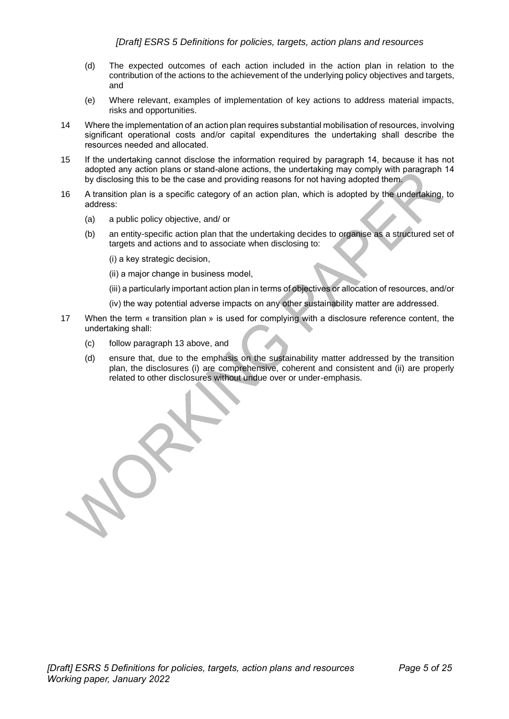- (d) The expected outcomes of each action included in the action plan in relation to the contribution of the actions to the achievement of the underlying policy objectives and targets, and
- (e) Where relevant, examples of implementation of key actions to address material impacts, risks and opportunities.
- 14 Where the implementation of an action plan requires substantial mobilisation of resources, involving significant operational costs and/or capital expenditures the undertaking shall describe the resources needed and allocated.
- 15 If the undertaking cannot disclose the information required by paragraph 14, because it has not adopted any action plans or stand-alone actions, the undertaking may comply with paragraph 14 by disclosing this to be the case and providing reasons for not having adopted them.
- 16 A transition plan is a specific category of an action plan, which is adopted by the undertaking, to address:
	- (a) a public policy objective, and/ or
	- (b) an entity-specific action plan that the undertaking decides to organise as a structured set of targets and actions and to associate when disclosing to:
		- (i) a key strategic decision,
		- (ii) a major change in business model,
		- (iii) a particularly important action plan in terms of objectives or allocation of resources, and/or
		- (iv) the way potential adverse impacts on any other sustainability matter are addressed.
- 17 When the term « transition plan » is used for complying with a disclosure reference content, the undertaking shall:
	- (c) follow paragraph 13 above, and
	- (d) ensure that, due to the emphasis on the sustainability matter addressed by the transition plan, the disclosures (i) are comprehensive, coherent and consistent and (ii) are properly related to other disclosures without undue over or under-emphasis.

*[Draft] ESRS 5 Definitions for policies, targets, action plans and resources Working paper, January 2022*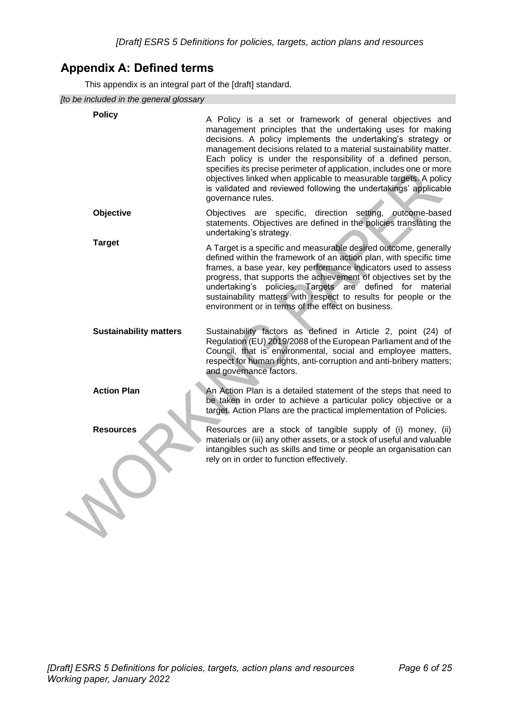# <span id="page-5-0"></span>**Appendix A: Defined terms**

This appendix is an integral part of the [draft] standard.

*[to be included in the general glossary*

| to be included in the general glossary |                                                                                                                                                                                                                                                                                                                                                                                                                                                                                                                                                                   |
|----------------------------------------|-------------------------------------------------------------------------------------------------------------------------------------------------------------------------------------------------------------------------------------------------------------------------------------------------------------------------------------------------------------------------------------------------------------------------------------------------------------------------------------------------------------------------------------------------------------------|
| <b>Policy</b>                          | A Policy is a set or framework of general objectives and<br>management principles that the undertaking uses for making<br>decisions. A policy implements the undertaking's strategy or<br>management decisions related to a material sustainability matter.<br>Each policy is under the responsibility of a defined person,<br>specifies its precise perimeter of application, includes one or more<br>objectives linked when applicable to measurable targets. A policy<br>is validated and reviewed following the undertakings' applicable<br>governance rules. |
| Objective                              | Objectives are specific, direction setting, outcome-based<br>statements. Objectives are defined in the policies translating the<br>undertaking's strategy.                                                                                                                                                                                                                                                                                                                                                                                                        |
| <b>Target</b>                          | A Target is a specific and measurable desired outcome, generally<br>defined within the framework of an action plan, with specific time<br>frames, a base year, key performance indicators used to assess<br>progress, that supports the achievement of objectives set by the<br>undertaking's policies. Targets are defined for material<br>sustainability matters with respect to results for people or the<br>environment or in terms of the effect on business.                                                                                                |
| <b>Sustainability matters</b>          | Sustainability factors as defined in Article 2, point (24) of<br>Regulation (EU) 2019/2088 of the European Parliament and of the<br>Council, that is environmental, social and employee matters,<br>respect for human rights, anti-corruption and anti-bribery matters;<br>and governance factors.                                                                                                                                                                                                                                                                |
| <b>Action Plan</b>                     | An Action Plan is a detailed statement of the steps that need to<br>be taken in order to achieve a particular policy objective or a<br>target. Action Plans are the practical implementation of Policies.                                                                                                                                                                                                                                                                                                                                                         |
| <b>Resources</b>                       | Resources are a stock of tangible supply of (i) money, (ii)<br>materials or (iii) any other assets, or a stock of useful and valuable<br>intangibles such as skills and time or people an organisation can<br>rely on in order to function effectively.                                                                                                                                                                                                                                                                                                           |
|                                        |                                                                                                                                                                                                                                                                                                                                                                                                                                                                                                                                                                   |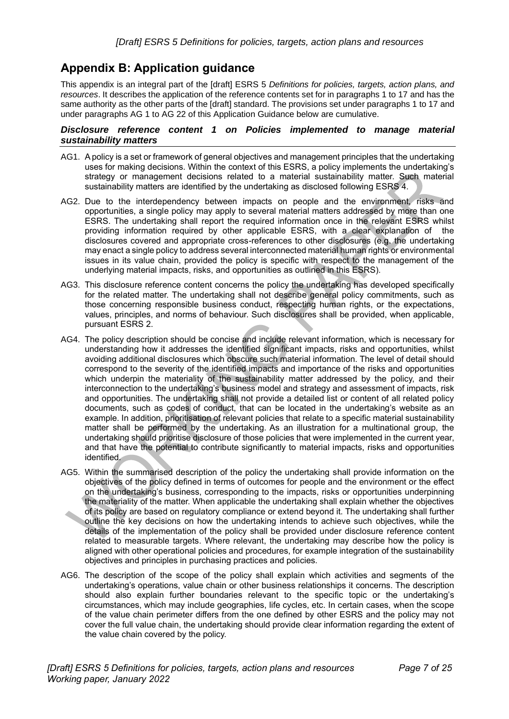## <span id="page-6-0"></span>**Appendix B: Application guidance**

This appendix is an integral part of the [draft] ESRS 5 *Definitions for policies, targets, action plans, and resources*. It describes the application of the reference contents set for in paragraphs 1 to 17 and has the same authority as the other parts of the [draft] standard. The provisions set under paragraphs 1 to 17 and under paragraphs AG 1 to AG 22 of this Application Guidance below are cumulative.

#### <span id="page-6-1"></span>*Disclosure reference content 1 on Policies implemented to manage material sustainability matters*

- AG1. A policy is a set or framework of general objectives and management principles that the undertaking uses for making decisions. Within the context of this ESRS, a policy implements the undertaking's strategy or management decisions related to a material sustainability matter. Such material sustainability matters are identified by the undertaking as disclosed following ESRS 4.
- AG2. Due to the interdependency between impacts on people and the environment, risks and opportunities, a single policy may apply to several material matters addressed by more than one ESRS. The undertaking shall report the required information once in the relevant ESRS whilst providing information required by other applicable ESRS, with a clear explanation of the disclosures covered and appropriate cross-references to other disclosures (e.g. the undertaking may enact a single policy to address several interconnected material human rights or environmental issues in its value chain, provided the policy is specific with respect to the management of the underlying material impacts, risks, and opportunities as outlined in this ESRS).
- AG3. This disclosure reference content concerns the policy the undertaking has developed specifically for the related matter. The undertaking shall not describe general policy commitments, such as those concerning responsible business conduct, respecting human rights, or the expectations, values, principles, and norms of behaviour. Such disclosures shall be provided, when applicable, pursuant ESRS 2.
- AG4. The policy description should be concise and include relevant information, which is necessary for understanding how it addresses the identified significant impacts, risks and opportunities, whilst avoiding additional disclosures which obscure such material information. The level of detail should correspond to the severity of the identified impacts and importance of the risks and opportunities which underpin the materiality of the sustainability matter addressed by the policy, and their interconnection to the undertaking's business model and strategy and assessment of impacts, risk and opportunities. The undertaking shall not provide a detailed list or content of all related policy documents, such as codes of conduct, that can be located in the undertaking's website as an example. In addition, prioritisation of relevant policies that relate to a specific material sustainability matter shall be performed by the undertaking. As an illustration for a multinational group, the undertaking should prioritise disclosure of those policies that were implemented in the current year, and that have the potential to contribute significantly to material impacts, risks and opportunities identified.
- AG5. Within the summarised description of the policy the undertaking shall provide information on the objectives of the policy defined in terms of outcomes for people and the environment or the effect on the undertaking's business, corresponding to the impacts, risks or opportunities underpinning the materiality of the matter. When applicable the undertaking shall explain whether the objectives of its policy are based on regulatory compliance or extend beyond it. The undertaking shall further outline the key decisions on how the undertaking intends to achieve such objectives, while the details of the implementation of the policy shall be provided under disclosure reference content related to measurable targets. Where relevant, the undertaking may describe how the policy is aligned with other operational policies and procedures, for example integration of the sustainability objectives and principles in purchasing practices and policies.
- AG6. The description of the scope of the policy shall explain which activities and segments of the undertaking's operations, value chain or other business relationships it concerns. The description should also explain further boundaries relevant to the specific topic or the undertaking's circumstances, which may include geographies, life cycles, etc. In certain cases, when the scope of the value chain perimeter differs from the one defined by other ESRS and the policy may not cover the full value chain, the undertaking should provide clear information regarding the extent of the value chain covered by the policy.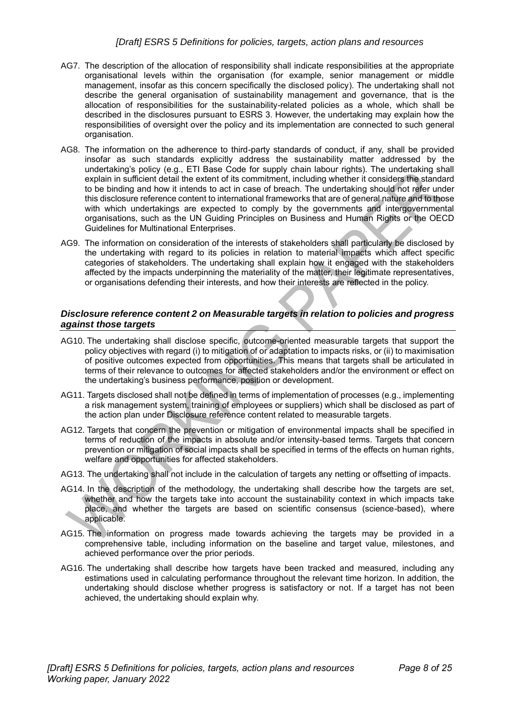#### *[Draft] ESRS 5 Definitions for policies, targets, action plans and resources*

- AG7. The description of the allocation of responsibility shall indicate responsibilities at the appropriate organisational levels within the organisation (for example, senior management or middle management, insofar as this concern specifically the disclosed policy). The undertaking shall not describe the general organisation of sustainability management and governance, that is the allocation of responsibilities for the sustainability-related policies as a whole, which shall be described in the disclosures pursuant to ESRS 3. However, the undertaking may explain how the responsibilities of oversight over the policy and its implementation are connected to such general organisation.
- AG8. The information on the adherence to third-party standards of conduct, if any, shall be provided insofar as such standards explicitly address the sustainability matter addressed by the undertaking's policy (e.g., ETI Base Code for supply chain labour rights). The undertaking shall explain in sufficient detail the extent of its commitment, including whether it considers the standard to be binding and how it intends to act in case of breach. The undertaking should not refer under this disclosure reference content to international frameworks that are of general nature and to those with which undertakings are expected to comply by the governments and intergovernmental organisations, such as the UN Guiding Principles on Business and Human Rights or the OECD Guidelines for Multinational Enterprises.
- AG9. The information on consideration of the interests of stakeholders shall particularly be disclosed by the undertaking with regard to its policies in relation to material impacts which affect specific categories of stakeholders. The undertaking shall explain how it engaged with the stakeholders affected by the impacts underpinning the materiality of the matter, their legitimate representatives, or organisations defending their interests, and how their interests are reflected in the policy.

#### <span id="page-7-0"></span>*Disclosure reference content 2 on Measurable targets in relation to policies and progress against those targets*

- AG10. The undertaking shall disclose specific, outcome-oriented measurable targets that support the policy objectives with regard (i) to mitigation of or adaptation to impacts risks, or (ii) to maximisation of positive outcomes expected from opportunities. This means that targets shall be articulated in terms of their relevance to outcomes for affected stakeholders and/or the environment or effect on the undertaking's business performance, position or development.
- AG11. Targets disclosed shall not be defined in terms of implementation of processes (e.g., implementing a risk management system, training of employees or suppliers) which shall be disclosed as part of the action plan under Disclosure reference content related to measurable targets.
- AG12. Targets that concern the prevention or mitigation of environmental impacts shall be specified in terms of reduction of the impacts in absolute and/or intensity-based terms. Targets that concern prevention or mitigation of social impacts shall be specified in terms of the effects on human rights, welfare and opportunities for affected stakeholders.
- AG13. The undertaking shall not include in the calculation of targets any netting or offsetting of impacts.
- AG14. In the description of the methodology, the undertaking shall describe how the targets are set, whether and how the targets take into account the sustainability context in which impacts take place, and whether the targets are based on scientific consensus (science-based), where applicable.
- AG15. The information on progress made towards achieving the targets may be provided in a comprehensive table, including information on the baseline and target value, milestones, and achieved performance over the prior periods.
- AG16. The undertaking shall describe how targets have been tracked and measured, including any estimations used in calculating performance throughout the relevant time horizon. In addition, the undertaking should disclose whether progress is satisfactory or not. If a target has not been achieved, the undertaking should explain why.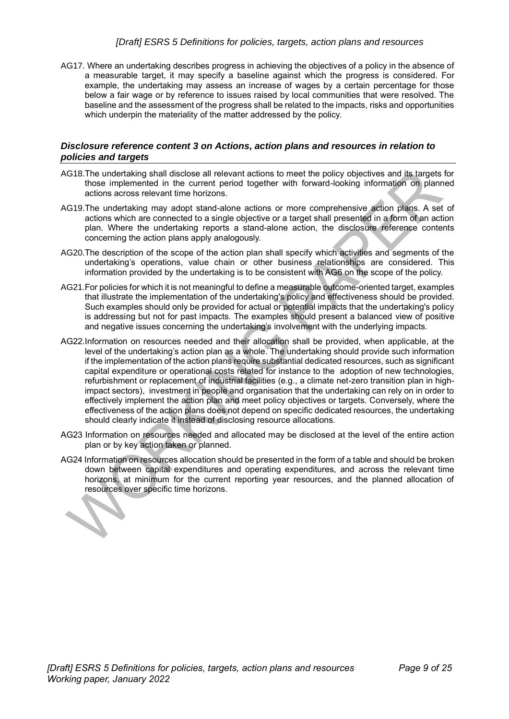#### *[Draft] ESRS 5 Definitions for policies, targets, action plans and resources*

AG17. Where an undertaking describes progress in achieving the objectives of a policy in the absence of a measurable target, it may specify a baseline against which the progress is considered. For example, the undertaking may assess an increase of wages by a certain percentage for those below a fair wage or by reference to issues raised by local communities that were resolved. The baseline and the assessment of the progress shall be related to the impacts, risks and opportunities which underpin the materiality of the matter addressed by the policy.

#### <span id="page-8-0"></span>*Disclosure reference content 3 on Actions, action plans and resources in relation to policies and targets*

- AG18.The undertaking shall disclose all relevant actions to meet the policy objectives and its targets for those implemented in the current period together with forward-looking information on planned actions across relevant time horizons.
- AG19.The undertaking may adopt stand-alone actions or more comprehensive action plans. A set of actions which are connected to a single objective or a target shall presented in a form of an action plan. Where the undertaking reports a stand-alone action, the disclosure reference contents concerning the action plans apply analogously.
- AG20.The description of the scope of the action plan shall specify which activities and segments of the undertaking's operations, value chain or other business relationships are considered. This information provided by the undertaking is to be consistent with AG6 on the scope of the policy.
- AG21.For policies for which it is not meaningful to define a measurable outcome-oriented target, examples that illustrate the implementation of the undertaking's policy and effectiveness should be provided. Such examples should only be provided for actual or potential impacts that the undertaking's policy is addressing but not for past impacts. The examples should present a balanced view of positive and negative issues concerning the undertaking's involvement with the underlying impacts.
- AG22.Information on resources needed and their allocation shall be provided, when applicable, at the level of the undertaking's action plan as a whole. The undertaking should provide such information if the implementation of the action plans require substantial dedicated resources, such as significant capital expenditure or operational costs related for instance to the adoption of new technologies, refurbishment or replacement of industrial facilities (e.g., a climate net-zero transition plan in highimpact sectors), investment in people and organisation that the undertaking can rely on in order to effectively implement the action plan and meet policy objectives or targets. Conversely, where the effectiveness of the action plans does not depend on specific dedicated resources, the undertaking should clearly indicate it instead of disclosing resource allocations.
- AG23 Information on resources needed and allocated may be disclosed at the level of the entire action plan or by key action taken or planned.
- AG24 Information on resources allocation should be presented in the form of a table and should be broken down between capital expenditures and operating expenditures, and across the relevant time horizons, at minimum for the current reporting year resources, and the planned allocation of resources over specific time horizons.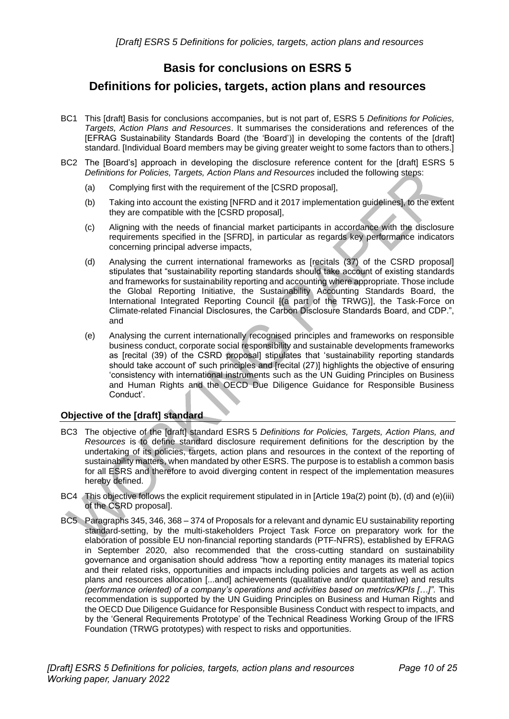## **Basis for conclusions on ESRS 5**

### <span id="page-9-0"></span>**Definitions for policies, targets, action plans and resources**

- BC1 This [draft] Basis for conclusions accompanies, but is not part of, ESRS 5 *Definitions for Policies, Targets, Action Plans and Resources*. It summarises the considerations and references of the [EFRAG Sustainability Standards Board (the 'Board')] in developing the contents of the [draft] standard. [Individual Board members may be giving greater weight to some factors than to others.]
- BC2 The [Board's] approach in developing the disclosure reference content for the [draft] ESRS 5 *Definitions for Policies, Targets, Action Plans and Resources* included the following steps:
	- (a) Complying first with the requirement of the [CSRD proposal],
	- (b) Taking into account the existing [NFRD and it 2017 implementation guidelines], to the extent they are compatible with the [CSRD proposal],
	- (c) Aligning with the needs of financial market participants in accordance with the disclosure requirements specified in the [SFRD], in particular as regards key performance indicators concerning principal adverse impacts,
	- (d) Analysing the current international frameworks as [recitals (37) of the CSRD proposal] stipulates that "sustainability reporting standards should take account of existing standards and frameworks for sustainability reporting and accounting where appropriate. Those include the Global Reporting Initiative, the Sustainability Accounting Standards Board, the International Integrated Reporting Council [(a part of the TRWG)], the Task-Force on Climate-related Financial Disclosures, the Carbon Disclosure Standards Board, and CDP.", and
	- (e) Analysing the current internationally recognised principles and frameworks on responsible business conduct, corporate social responsibility and sustainable developments frameworks as [recital (39) of the CSRD proposal] stipulates that 'sustainability reporting standards should take account of' such principles and [recital (27)] highlights the objective of ensuring 'consistency with international instruments such as the UN Guiding Principles on Business and Human Rights and the OECD Due Diligence Guidance for Responsible Business Conduct'.

#### <span id="page-9-1"></span>**Objective of the [draft] standard**

- BC3 The objective of the [draft] standard ESRS 5 *Definitions for Policies, Targets, Action Plans, and Resources* is to define standard disclosure requirement definitions for the description by the undertaking of its policies, targets, action plans and resources in the context of the reporting of sustainability matters, when mandated by other ESRS. The purpose is to establish a common basis for all ESRS and therefore to avoid diverging content in respect of the implementation measures hereby defined.
- BC4 This objective follows the explicit requirement stipulated in in [Article 19a(2) point (b), (d) and (e)(iii) of the CSRD proposal].
- BC5 Paragraphs 345, 346, 368 374 o[f Proposals for a relevant and dynamic EU sustainability reporting](https://www.efrag.org/Lab2)  [standard-setting,](https://www.efrag.org/Lab2) by the multi-stakeholders Project Task Force on preparatory work for the elaboration of possible EU non-financial reporting standards [\(PTF-NFRS\)](https://www.efrag.org/EuropeanLab/LabGovernance/44/European-Lab-PTF-on-preparatory-work-for-the-elaboration-of-possible-EU-non-financial-reporting-standards--PTF-NFRS), established by EFRAG in September 2020, also recommended that the cross-cutting standard on sustainability governance and organisation should address "how a reporting entity manages its material topics and their related risks, opportunities and impacts including policies and targets as well as action plans and resources allocation [...and] achievements (qualitative and/or quantitative) and results *(performance oriented) of a company's operations and activities based on metrics/KPIs […]".* This recommendation is supported by the UN Guiding Principles on Business and Human Rights and the OECD Due Diligence Guidance for Responsible Business Conduct with respect to impacts, and by the 'General Requirements Prototype' of the Technical Readiness Working Group of the IFRS Foundation (TRWG prototypes) with respect to risks and opportunities.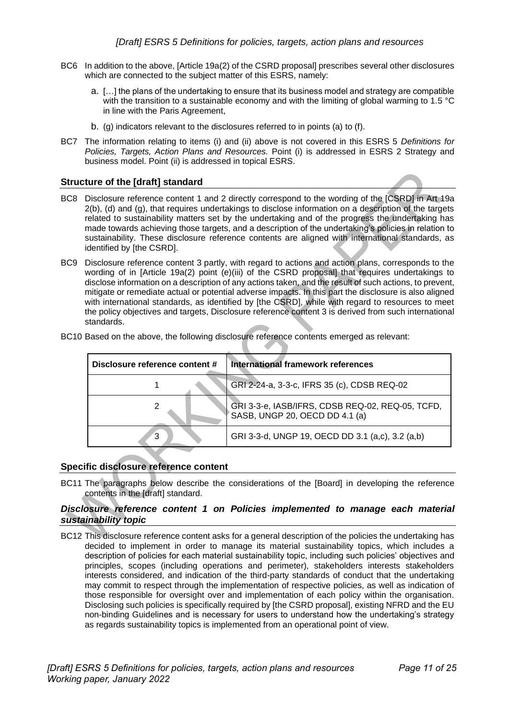- BC6 In addition to the above, [Article 19a(2) of the CSRD proposal] prescribes several other disclosures which are connected to the subject matter of this ESRS, namely:
	- a. […] the plans of the undertaking to ensure that its business model and strategy are compatible with the transition to a sustainable economy and with the limiting of global warming to 1.5 °C in line with the Paris Agreement,
	- b. (g) indicators relevant to the disclosures referred to in points (a) to (f).
- BC7 The information relating to items (i) and (ii) above is not covered in this ESRS 5 *Definitions for Policies, Targets, Action Plans and Resources.* Point (i) is addressed in ESRS 2 Strategy and business model. Point (ii) is addressed in topical ESRS.

#### <span id="page-10-0"></span>**Structure of the [draft] standard**

- BC8 Disclosure reference content 1 and 2 directly correspond to the wording of the [CSRD] in Art 19a 2(b), (d) and (g), that requires undertakings to disclose information on a description of the targets related to sustainability matters set by the undertaking and of the progress the undertaking has made towards achieving those targets, and a description of the undertaking's policies in relation to sustainability. These disclosure reference contents are aligned with international standards, as identified by [the CSRD].
- BC9 Disclosure reference content 3 partly, with regard to actions and action plans, corresponds to the wording of in [Article 19a(2) point (e)(iii) of the CSRD proposal] that requires undertakings to disclose information on a description of any actions taken, and the result of such actions, to prevent, mitigate or remediate actual or potential adverse impacts. In this part the disclosure is also aligned with international standards, as identified by [the CSRD], while with regard to resources to meet the policy objectives and targets, Disclosure reference content 3 is derived from such international standards.

| Disclosure reference content # | International framework references                                                 |
|--------------------------------|------------------------------------------------------------------------------------|
|                                | GRI 2-24-a, 3-3-c, IFRS 35 (c), CDSB REQ-02                                        |
|                                | GRI 3-3-e, IASB/IFRS, CDSB REQ-02, REQ-05, TCFD,<br>SASB, UNGP 20, OECD DD 4.1 (a) |
| 3                              | GRI 3-3-d, UNGP 19, OECD DD 3.1 (a,c), 3.2 (a,b)                                   |

BC10 Based on the above, the following disclosure reference contents emerged as relevant:

#### <span id="page-10-1"></span>**Specific disclosure reference content**

BC11 The paragraphs below describe the considerations of the [Board] in developing the reference contents in the [draft] standard.

#### <span id="page-10-2"></span>*Disclosure reference content 1 on Policies implemented to manage each material sustainability topic*

BC12 This disclosure reference content asks for a general description of the policies the undertaking has decided to implement in order to manage its material sustainability topics, which includes a description of policies for each material sustainability topic, including such policies' objectives and principles, scopes (including operations and perimeter), stakeholders interests stakeholders interests considered, and indication of the third-party standards of conduct that the undertaking may commit to respect through the implementation of respective policies, as well as indication of those responsible for oversight over and implementation of each policy within the organisation. Disclosing such policies is specifically required by [the CSRD proposal], existing NFRD and the EU non-binding Guidelines and is necessary for users to understand how the undertaking's strategy as regards sustainability topics is implemented from an operational point of view.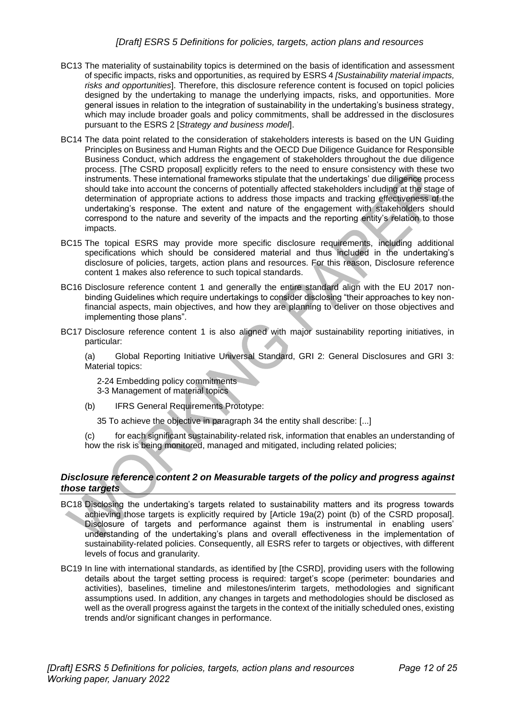- BC13 The materiality of sustainability topics is determined on the basis of identification and assessment of specific impacts, risks and opportunities, as required by ESRS 4 *[Sustainability material impacts, risks and opportunities*]. Therefore, this disclosure reference content is focused on topicl policies designed by the undertaking to manage the underlying impacts, risks, and opportunities. More general issues in relation to the integration of sustainability in the undertaking's business strategy, which may include broader goals and policy commitments, shall be addressed in the disclosures pursuant to the ESRS 2 [*Strategy and business model*].
- BC14 The data point related to the consideration of stakeholders interests is based on the UN Guiding Principles on Business and Human Rights and the OECD Due Diligence Guidance for Responsible Business Conduct, which address the engagement of stakeholders throughout the due diligence process. [The CSRD proposal] explicitly refers to the need to ensure consistency with these two instruments. These international frameworks stipulate that the undertakings' due diligence process should take into account the concerns of potentially affected stakeholders including at the stage of determination of appropriate actions to address those impacts and tracking effectiveness of the undertaking's response. The extent and nature of the engagement with stakeholders should correspond to the nature and severity of the impacts and the reporting entity's relation to those impacts.
- BC15 The topical ESRS may provide more specific disclosure requirements, including additional specifications which should be considered material and thus included in the undertaking's disclosure of policies, targets, action plans and resources. For this reason, Disclosure reference content 1 makes also reference to such topical standards.
- BC16 Disclosure reference content 1 and generally the entire standard align with the EU 2017 nonbinding Guidelines which require undertakings to consider disclosing "their approaches to key nonfinancial aspects, main objectives, and how they are planning to deliver on those objectives and implementing those plans".
- BC17 Disclosure reference content 1 is also aligned with major sustainability reporting initiatives, in particular:

(a) Global Reporting Initiative Universal Standard, GRI 2: General Disclosures and GRI 3: Material topics:

2-24 Embedding policy commitments 3-3 Management of material topics

(b) IFRS General Requirements Prototype:

35 To achieve the objective in paragraph 34 the entity shall describe: [...]

(c) for each significant sustainability-related risk, information that enables an understanding of how the risk is being monitored, managed and mitigated, including related policies;

#### <span id="page-11-0"></span>*Disclosure reference content 2 on Measurable targets of the policy and progress against those targets*

- BC18 Disclosing the undertaking's targets related to sustainability matters and its progress towards achieving those targets is explicitly required by [Article 19a(2) point (b) of the CSRD proposal]. Disclosure of targets and performance against them is instrumental in enabling users' understanding of the undertaking's plans and overall effectiveness in the implementation of sustainability-related policies. Consequently, all ESRS refer to targets or objectives, with different levels of focus and granularity.
- BC19 In line with international standards, as identified by [the CSRD], providing users with the following details about the target setting process is required: target's scope (perimeter: boundaries and activities), baselines, timeline and milestones/interim targets, methodologies and significant assumptions used. In addition, any changes in targets and methodologies should be disclosed as well as the overall progress against the targets in the context of the initially scheduled ones, existing trends and/or significant changes in performance.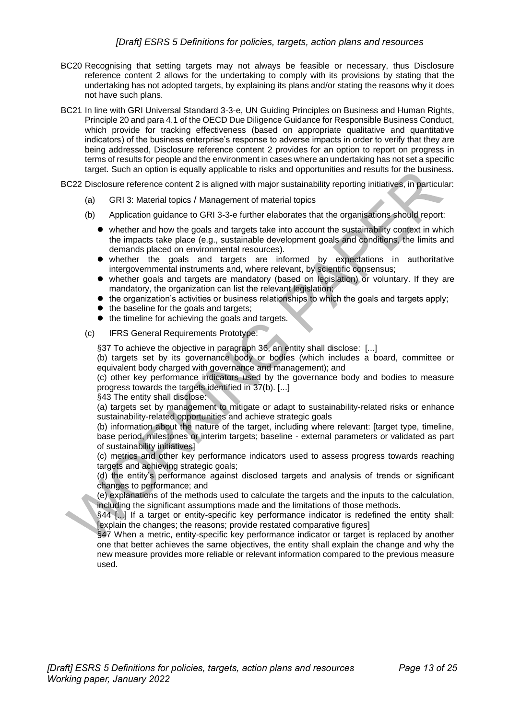- BC20 Recognising that setting targets may not always be feasible or necessary, thus Disclosure reference content 2 allows for the undertaking to comply with its provisions by stating that the undertaking has not adopted targets, by explaining its plans and/or stating the reasons why it does not have such plans.
- BC21 In line with GRI Universal Standard 3-3-e, UN Guiding Principles on Business and Human Rights, Principle 20 and para 4.1 of the OECD Due Diligence Guidance for Responsible Business Conduct, which provide for tracking effectiveness (based on appropriate qualitative and quantitative indicators) of the business enterprise's response to adverse impacts in order to verify that they are being addressed, Disclosure reference content 2 provides for an option to report on progress in terms of results for people and the environment in cases where an undertaking has not set a specific target. Such an option is equally applicable to risks and opportunities and results for the business.

BC22 Disclosure reference content 2 is aligned with major sustainability reporting initiatives, in particular:

- (a) GRI 3: Material topics / Management of material topics
- (b) Application guidance to GRI 3-3-e further elaborates that the organisations should report:
	- whether and how the goals and targets take into account the sustainability context in which the impacts take place (e.g., sustainable development goals and conditions, the limits and demands placed on environmental resources).
	- ⚫ whether the goals and targets are informed by expectations in authoritative intergovernmental instruments and, where relevant, by scientific consensus;
	- ⚫ whether goals and targets are mandatory (based on legislation) or voluntary. If they are mandatory, the organization can list the relevant legislation;
	- $\bullet$  the organization's activities or business relationships to which the goals and targets apply;
	- the baseline for the goals and targets;
	- the timeline for achieving the goals and targets.
- (c) IFRS General Requirements Prototype:

§37 To achieve the objective in paragraph 36, an entity shall disclose: [...]

(b) targets set by its governance body or bodies (which includes a board, committee or equivalent body charged with governance and management); and

(c) other key performance indicators used by the governance body and bodies to measure progress towards the targets identified in 37(b). [...]

§43 The entity shall disclose:

(a) targets set by management to mitigate or adapt to sustainability-related risks or enhance sustainability-related opportunities and achieve strategic goals

(b) information about the nature of the target, including where relevant: [target type, timeline, base period, milestones or interim targets; baseline - external parameters or validated as part of sustainability initiatives]

(c) metrics and other key performance indicators used to assess progress towards reaching targets and achieving strategic goals;

(d) the entity's performance against disclosed targets and analysis of trends or significant changes to performance; and

(e) explanations of the methods used to calculate the targets and the inputs to the calculation, including the significant assumptions made and the limitations of those methods.

§44 [...] If a target or entity-specific key performance indicator is redefined the entity shall: [explain the changes; the reasons; provide restated comparative figures]

§47 When a metric, entity-specific key performance indicator or target is replaced by another one that better achieves the same objectives, the entity shall explain the change and why the new measure provides more reliable or relevant information compared to the previous measure used.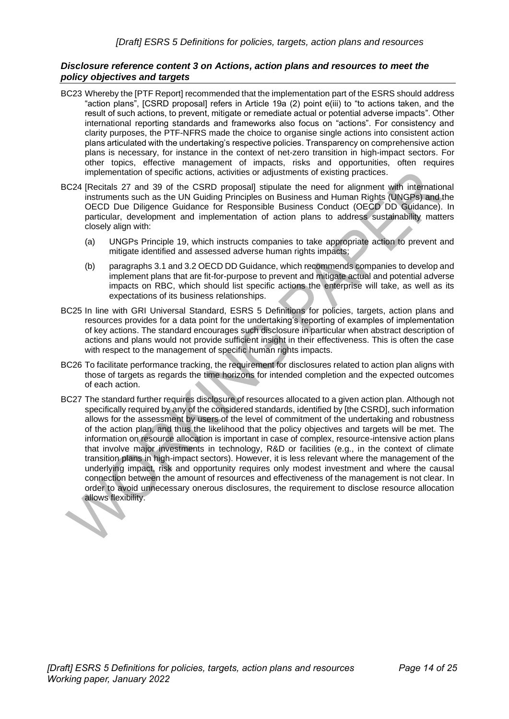#### <span id="page-13-0"></span>*Disclosure reference content 3 on Actions, action plans and resources to meet the policy objectives and targets*

- BC23 Whereby the [PTF Report] recommended that the implementation part of the ESRS should address "action plans", [CSRD proposal] refers in Article 19a (2) point e(iii) to "to actions taken, and the result of such actions, to prevent, mitigate or remediate actual or potential adverse impacts". Other international reporting standards and frameworks also focus on "actions". For consistency and clarity purposes, the PTF-NFRS made the choice to organise single actions into consistent action plans articulated with the undertaking's respective policies. Transparency on comprehensive action plans is necessary, for instance in the context of net-zero transition in high-impact sectors. For other topics, effective management of impacts, risks and opportunities, often requires implementation of specific actions, activities or adjustments of existing practices.
- BC24 [Recitals 27 and 39 of the CSRD proposal] stipulate the need for alignment with international instruments such as the UN Guiding Principles on Business and Human Rights (UNGPs) and the OECD Due Diligence Guidance for Responsible Business Conduct (OECD DD Guidance). In particular, development and implementation of action plans to address sustainability matters closely align with:
	- (a) UNGPs Principle 19, which instructs companies to take appropriate action to prevent and mitigate identified and assessed adverse human rights impacts;
	- (b) paragraphs 3.1 and 3.2 OECD DD Guidance, which recommends companies to develop and implement plans that are fit-for-purpose to prevent and mitigate actual and potential adverse impacts on RBC, which should list specific actions the enterprise will take, as well as its expectations of its business relationships.
- BC25 In line with GRI Universal Standard, ESRS 5 Definitions for policies, targets, action plans and resources provides for a data point for the undertaking's reporting of examples of implementation of key actions. The standard encourages such disclosure in particular when abstract description of actions and plans would not provide sufficient insight in their effectiveness. This is often the case with respect to the management of specific human rights impacts.
- BC26 To facilitate performance tracking, the requirement for disclosures related to action plan aligns with those of targets as regards the time horizons for intended completion and the expected outcomes of each action.
- BC27 The standard further requires disclosure of resources allocated to a given action plan. Although not specifically required by any of the considered standards, identified by [the CSRD], such information allows for the assessment by users of the level of commitment of the undertaking and robustness of the action plan, and thus the likelihood that the policy objectives and targets will be met. The information on resource allocation is important in case of complex, resource-intensive action plans that involve major investments in technology, R&D or facilities (e.g., in the context of climate transition plans in high-impact sectors). However, it is less relevant where the management of the underlying impact, risk and opportunity requires only modest investment and where the causal connection between the amount of resources and effectiveness of the management is not clear. In order to avoid unnecessary onerous disclosures, the requirement to disclose resource allocation allows flexibility.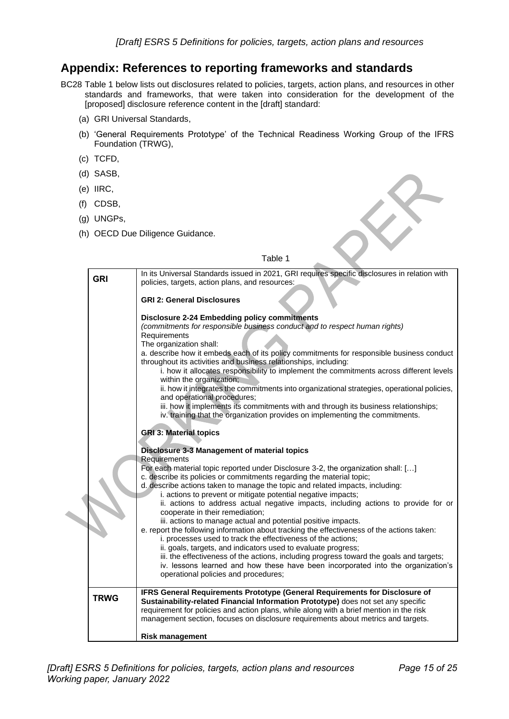### <span id="page-14-0"></span>**Appendix: References to reporting frameworks and standards**

BC28 Table 1 below lists out disclosures related to policies, targets, action plans, and resources in other standards and frameworks, that were taken into consideration for the development of the [proposed] disclosure reference content in the [draft] standard:

- (a) GRI Universal Standards,
- (b) 'General Requirements Prototype' of the Technical Readiness Working Group of the IFRS Foundation (TRWG),
- (c) TCFD,
- (d) SASB,
- (e) IIRC,
- (f) CDSB,
- (g) UNGPs,
- (h) OECD Due Diligence Guidance.

#### Table 1

| (e) IIRC,                                                                                                                                                                                   |  |  |
|---------------------------------------------------------------------------------------------------------------------------------------------------------------------------------------------|--|--|
| CDSB,<br>(1)                                                                                                                                                                                |  |  |
| (g) UNGPs,                                                                                                                                                                                  |  |  |
| (h) OECD Due Diligence Guidance.                                                                                                                                                            |  |  |
|                                                                                                                                                                                             |  |  |
| Table 1                                                                                                                                                                                     |  |  |
| In its Universal Standards issued in 2021, GRI requires specific disclosures in relation with<br><b>GRI</b>                                                                                 |  |  |
| policies, targets, action plans, and resources:                                                                                                                                             |  |  |
| <b>GRI 2: General Disclosures</b>                                                                                                                                                           |  |  |
| <b>Disclosure 2-24 Embedding policy commitments</b>                                                                                                                                         |  |  |
| (commitments for responsible business conduct and to respect human rights)<br>Requirements                                                                                                  |  |  |
| The organization shall:                                                                                                                                                                     |  |  |
| a. describe how it embeds each of its policy commitments for responsible business conduct<br>throughout its activities and business relationships, including:                               |  |  |
| i. how it allocates responsibility to implement the commitments across different levels<br>within the organization;                                                                         |  |  |
| ii. how it integrates the commitments into organizational strategies, operational policies,                                                                                                 |  |  |
| and operational procedures;<br>iii. how it implements its commitments with and through its business relationships;                                                                          |  |  |
| iv. training that the organization provides on implementing the commitments.                                                                                                                |  |  |
| <b>GRI 3: Material topics</b>                                                                                                                                                               |  |  |
| Disclosure 3-3 Management of material topics                                                                                                                                                |  |  |
| Requirements                                                                                                                                                                                |  |  |
| For each material topic reported under Disclosure 3-2, the organization shall: []<br>c. describe its policies or commitments regarding the material topic;                                  |  |  |
| d. describe actions taken to manage the topic and related impacts, including:<br>i. actions to prevent or mitigate potential negative impacts;                                              |  |  |
| ii. actions to address actual negative impacts, including actions to provide for or                                                                                                         |  |  |
| cooperate in their remediation;<br>iii. actions to manage actual and potential positive impacts.                                                                                            |  |  |
| e. report the following information about tracking the effectiveness of the actions taken:<br>i. processes used to track the effectiveness of the actions;                                  |  |  |
| ii. goals, targets, and indicators used to evaluate progress;                                                                                                                               |  |  |
| iii. the effectiveness of the actions, including progress toward the goals and targets;<br>iv. lessons learned and how these have been incorporated into the organization's                 |  |  |
| operational policies and procedures;                                                                                                                                                        |  |  |
| IFRS General Requirements Prototype (General Requirements for Disclosure of                                                                                                                 |  |  |
| <b>TRWG</b><br>Sustainability-related Financial Information Prototype) does not set any specific<br>requirement for policies and action plans, while along with a brief mention in the risk |  |  |
| management section, focuses on disclosure requirements about metrics and targets.                                                                                                           |  |  |
| <b>Risk management</b>                                                                                                                                                                      |  |  |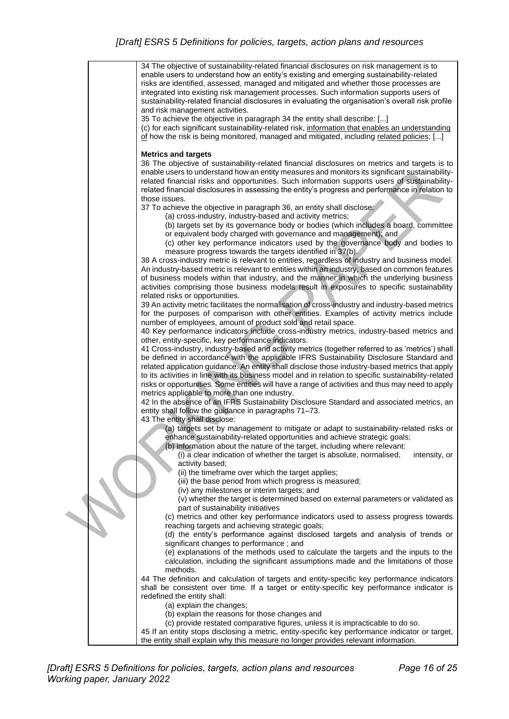|  | 34 The objective of sustainability-related financial disclosures on risk management is to<br>enable users to understand how an entity's existing and emerging sustainability-related<br>risks are identified, assessed, managed and mitigated and whether those processes are<br>integrated into existing risk management processes. Such information supports users of                                                           |
|--|-----------------------------------------------------------------------------------------------------------------------------------------------------------------------------------------------------------------------------------------------------------------------------------------------------------------------------------------------------------------------------------------------------------------------------------|
|  | sustainability-related financial disclosures in evaluating the organisation's overall risk profile<br>and risk management activities.                                                                                                                                                                                                                                                                                             |
|  | 35 To achieve the objective in paragraph 34 the entity shall describe: []                                                                                                                                                                                                                                                                                                                                                         |
|  | (c) for each significant sustainability-related risk, information that enables an understanding<br>of how the risk is being monitored, managed and mitigated, including related policies; []                                                                                                                                                                                                                                      |
|  | <b>Metrics and targets</b><br>36 The objective of sustainability-related financial disclosures on metrics and targets is to<br>enable users to understand how an entity measures and monitors its significant sustainability-<br>related financial risks and opportunities. Such information supports users of sustainability-<br>related financial disclosures in assessing the entity's progress and performance in relation to |
|  | those issues.<br>37 To achieve the objective in paragraph 36, an entity shall disclose:                                                                                                                                                                                                                                                                                                                                           |
|  | (a) cross-industry, industry-based and activity metrics;                                                                                                                                                                                                                                                                                                                                                                          |
|  | (b) targets set by its governance body or bodies (which includes a board, committee<br>or equivalent body charged with governance and management); and<br>(c) other key performance indicators used by the governance body and bodies to                                                                                                                                                                                          |
|  | measure progress towards the targets identified in 37(b).<br>38 A cross-industry metric is relevant to entities, regardless of industry and business model.<br>An industry-based metric is relevant to entities within an industry, based on common features<br>of business models within that industry, and the manner in which the underlying business                                                                          |
|  | activities comprising those business models result in exposures to specific sustainability<br>related risks or opportunities.                                                                                                                                                                                                                                                                                                     |
|  | 39 An activity metric facilitates the normalisation of cross-industry and industry-based metrics                                                                                                                                                                                                                                                                                                                                  |
|  | for the purposes of comparison with other entities. Examples of activity metrics include<br>number of employees, amount of product sold and retail space.                                                                                                                                                                                                                                                                         |
|  | 40 Key performance indicators include cross-industry metrics, industry-based metrics and                                                                                                                                                                                                                                                                                                                                          |
|  | other, entity-specific, key performance indicators.<br>41 Cross-industry, industry-based and activity metrics (together referred to as 'metrics') shall                                                                                                                                                                                                                                                                           |
|  | be defined in accordance with the applicable IFRS Sustainability Disclosure Standard and<br>related application guidance. An entity shall disclose those industry-based metrics that apply<br>to its activities in line with its business model and in relation to specific sustainability-related<br>risks or opportunities. Some entities will have a range of activities and thus may need to apply                            |
|  | metrics applicable to more than one industry.                                                                                                                                                                                                                                                                                                                                                                                     |
|  | 42 In the absence of an IFRS Sustainability Disclosure Standard and associated metrics, an<br>entity shall follow the guidance in paragraphs 71-73.<br>43 The entity shall disclose:                                                                                                                                                                                                                                              |
|  | (a) targets set by management to mitigate or adapt to sustainability-related risks or                                                                                                                                                                                                                                                                                                                                             |
|  | enhance sustainability-related opportunities and achieve strategic goals;<br>(b) information about the nature of the target, including where relevant:                                                                                                                                                                                                                                                                            |
|  | (i) a clear indication of whether the target is absolute, normalised,<br>intensity, or<br>activity based;                                                                                                                                                                                                                                                                                                                         |
|  | (ii) the timeframe over which the target applies;                                                                                                                                                                                                                                                                                                                                                                                 |
|  | (iii) the base period from which progress is measured;<br>(iv) any milestones or interim targets; and                                                                                                                                                                                                                                                                                                                             |
|  | (v) whether the target is determined based on external parameters or validated as                                                                                                                                                                                                                                                                                                                                                 |
|  | part of sustainability initiatives<br>(c) metrics and other key performance indicators used to assess progress towards                                                                                                                                                                                                                                                                                                            |
|  | reaching targets and achieving strategic goals;                                                                                                                                                                                                                                                                                                                                                                                   |
|  | (d) the entity's performance against disclosed targets and analysis of trends or<br>significant changes to performance; and                                                                                                                                                                                                                                                                                                       |
|  | (e) explanations of the methods used to calculate the targets and the inputs to the<br>calculation, including the significant assumptions made and the limitations of those<br>methods.                                                                                                                                                                                                                                           |
|  | 44 The definition and calculation of targets and entity-specific key performance indicators<br>shall be consistent over time. If a target or entity-specific key performance indicator is<br>redefined the entity shall:                                                                                                                                                                                                          |
|  | (a) explain the changes;                                                                                                                                                                                                                                                                                                                                                                                                          |
|  | (b) explain the reasons for those changes and<br>(c) provide restated comparative figures, unless it is impracticable to do so.                                                                                                                                                                                                                                                                                                   |
|  | 45 If an entity stops disclosing a metric, entity-specific key performance indicator or target,                                                                                                                                                                                                                                                                                                                                   |
|  | the entity shall explain why this measure no longer provides relevant information.                                                                                                                                                                                                                                                                                                                                                |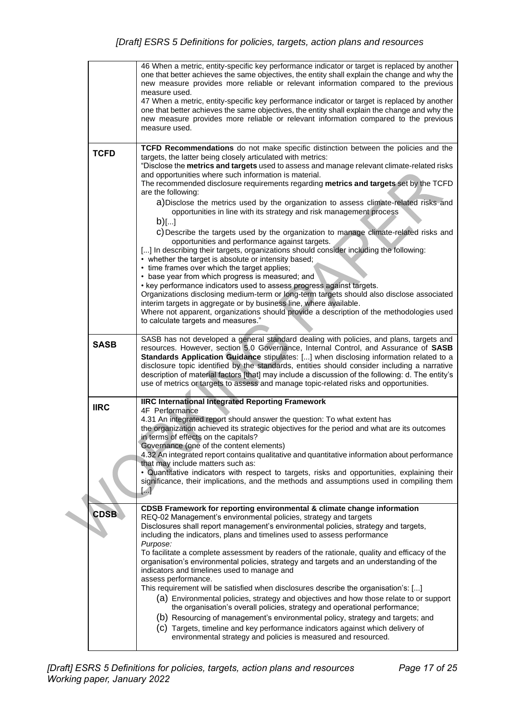|                                                                                                                                                                                                       |             | 46 When a metric, entity-specific key performance indicator or target is replaced by another<br>one that better achieves the same objectives, the entity shall explain the change and why the<br>new measure provides more reliable or relevant information compared to the previous<br>measure used.<br>47 When a metric, entity-specific key performance indicator or target is replaced by another<br>one that better achieves the same objectives, the entity shall explain the change and why the<br>new measure provides more reliable or relevant information compared to the previous<br>measure used. |  |  |
|-------------------------------------------------------------------------------------------------------------------------------------------------------------------------------------------------------|-------------|----------------------------------------------------------------------------------------------------------------------------------------------------------------------------------------------------------------------------------------------------------------------------------------------------------------------------------------------------------------------------------------------------------------------------------------------------------------------------------------------------------------------------------------------------------------------------------------------------------------|--|--|
|                                                                                                                                                                                                       |             | TCFD Recommendations do not make specific distinction between the policies and the                                                                                                                                                                                                                                                                                                                                                                                                                                                                                                                             |  |  |
|                                                                                                                                                                                                       | <b>TCFD</b> | targets, the latter being closely articulated with metrics:<br>"Disclose the metrics and targets used to assess and manage relevant climate-related risks<br>and opportunities where such information is material.<br>The recommended disclosure requirements regarding metrics and targets set by the TCFD<br>are the following:<br>a) Disclose the metrics used by the organization to assess climate-related risks and<br>opportunities in line with its strategy and risk management process                                                                                                               |  |  |
|                                                                                                                                                                                                       |             | $b)$ []                                                                                                                                                                                                                                                                                                                                                                                                                                                                                                                                                                                                        |  |  |
|                                                                                                                                                                                                       |             | c) Describe the targets used by the organization to manage climate-related risks and                                                                                                                                                                                                                                                                                                                                                                                                                                                                                                                           |  |  |
|                                                                                                                                                                                                       |             | opportunities and performance against targets.<br>[] In describing their targets, organizations should consider including the following:<br>• whether the target is absolute or intensity based;<br>• time frames over which the target applies;                                                                                                                                                                                                                                                                                                                                                               |  |  |
|                                                                                                                                                                                                       |             | • base year from which progress is measured; and                                                                                                                                                                                                                                                                                                                                                                                                                                                                                                                                                               |  |  |
|                                                                                                                                                                                                       |             | • key performance indicators used to assess progress against targets.<br>Organizations disclosing medium-term or long-term targets should also disclose associated                                                                                                                                                                                                                                                                                                                                                                                                                                             |  |  |
| interim targets in aggregate or by business line, where available.<br>Where not apparent, organizations should provide a description of the methodologies used<br>to calculate targets and measures." |             |                                                                                                                                                                                                                                                                                                                                                                                                                                                                                                                                                                                                                |  |  |
|                                                                                                                                                                                                       | <b>SASB</b> | SASB has not developed a general standard dealing with policies, and plans, targets and<br>resources. However, section 5.0 Governance, Internal Control, and Assurance of SASB<br>Standards Application Guidance stipulates: [] when disclosing information related to a<br>disclosure topic identified by the standards, entities should consider including a narrative<br>description of material factors [that] may include a discussion of the following: d. The entity's<br>use of metrics or targets to assess and manage topic-related risks and opportunities.                                         |  |  |
|                                                                                                                                                                                                       |             |                                                                                                                                                                                                                                                                                                                                                                                                                                                                                                                                                                                                                |  |  |
|                                                                                                                                                                                                       | <b>IIRC</b> | <b>IIRC International Integrated Reporting Framework</b><br>4F Performance                                                                                                                                                                                                                                                                                                                                                                                                                                                                                                                                     |  |  |
|                                                                                                                                                                                                       |             | 4.31 An integrated report should answer the question: To what extent has<br>the organization achieved its strategic objectives for the period and what are its outcomes<br>in terms of effects on the capitals?<br>Governance (one of the content elements)<br>4.32 An integrated report contains qualitative and quantitative information about performance<br>that may include matters such as:                                                                                                                                                                                                              |  |  |
|                                                                                                                                                                                                       |             | . Quantitative indicators with respect to targets, risks and opportunities, explaining their<br>significance, their implications, and the methods and assumptions used in compiling them<br>$\left[\ldots\right]$                                                                                                                                                                                                                                                                                                                                                                                              |  |  |
|                                                                                                                                                                                                       | <b>CDSB</b> | CDSB Framework for reporting environmental & climate change information                                                                                                                                                                                                                                                                                                                                                                                                                                                                                                                                        |  |  |
|                                                                                                                                                                                                       |             | REQ-02 Management's environmental policies, strategy and targets<br>Disclosures shall report management's environmental policies, strategy and targets,<br>including the indicators, plans and timelines used to assess performance<br>Purpose:                                                                                                                                                                                                                                                                                                                                                                |  |  |
|                                                                                                                                                                                                       |             | To facilitate a complete assessment by readers of the rationale, quality and efficacy of the<br>organisation's environmental policies, strategy and targets and an understanding of the<br>indicators and timelines used to manage and<br>assess performance.                                                                                                                                                                                                                                                                                                                                                  |  |  |
|                                                                                                                                                                                                       |             | This requirement will be satisfied when disclosures describe the organisation's: []                                                                                                                                                                                                                                                                                                                                                                                                                                                                                                                            |  |  |
|                                                                                                                                                                                                       |             | (a) Environmental policies, strategy and objectives and how those relate to or support                                                                                                                                                                                                                                                                                                                                                                                                                                                                                                                         |  |  |
|                                                                                                                                                                                                       |             | the organisation's overall policies, strategy and operational performance;                                                                                                                                                                                                                                                                                                                                                                                                                                                                                                                                     |  |  |
|                                                                                                                                                                                                       |             | (b) Resourcing of management's environmental policy, strategy and targets; and<br>(C) Targets, timeline and key performance indicators against which delivery of<br>environmental strategy and policies is measured and resourced.                                                                                                                                                                                                                                                                                                                                                                             |  |  |
|                                                                                                                                                                                                       |             |                                                                                                                                                                                                                                                                                                                                                                                                                                                                                                                                                                                                                |  |  |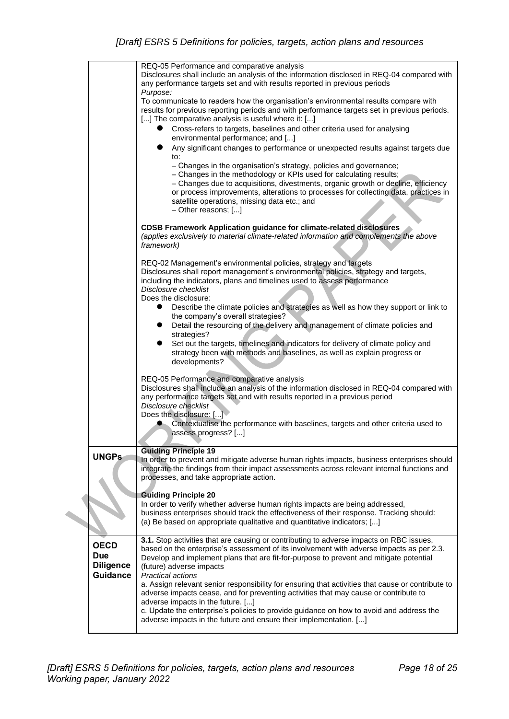|                                               | REQ-05 Performance and comparative analysis<br>Disclosures shall include an analysis of the information disclosed in REQ-04 compared with<br>any performance targets set and with results reported in previous periods                                                                                                                                                                          |
|-----------------------------------------------|-------------------------------------------------------------------------------------------------------------------------------------------------------------------------------------------------------------------------------------------------------------------------------------------------------------------------------------------------------------------------------------------------|
|                                               | Purpose:<br>To communicate to readers how the organisation's environmental results compare with<br>results for previous reporting periods and with performance targets set in previous periods.<br>[] The comparative analysis is useful where it: []                                                                                                                                           |
|                                               | Cross-refers to targets, baselines and other criteria used for analysing<br>$\bullet$<br>environmental performance; and []                                                                                                                                                                                                                                                                      |
|                                               | Any significant changes to performance or unexpected results against targets due<br>to:                                                                                                                                                                                                                                                                                                         |
|                                               | - Changes in the organisation's strategy, policies and governance;<br>- Changes in the methodology or KPIs used for calculating results;<br>- Changes due to acquisitions, divestments, organic growth or decline, efficiency<br>or process improvements, alterations to processes for collecting data, practices in<br>satellite operations, missing data etc.; and<br>$-$ Other reasons; $[]$ |
|                                               |                                                                                                                                                                                                                                                                                                                                                                                                 |
|                                               | <b>CDSB Framework Application guidance for climate-related disclosures</b><br>(applies exclusively to material climate-related information and complements the above<br>framework)                                                                                                                                                                                                              |
|                                               | REQ-02 Management's environmental policies, strategy and targets                                                                                                                                                                                                                                                                                                                                |
|                                               | Disclosures shall report management's environmental policies, strategy and targets,<br>including the indicators, plans and timelines used to assess performance<br>Disclosure checklist<br>Does the disclosure:                                                                                                                                                                                 |
|                                               | Describe the climate policies and strategies as well as how they support or link to<br>the company's overall strategies?                                                                                                                                                                                                                                                                        |
|                                               | Detail the resourcing of the delivery and management of climate policies and<br>$\bullet$<br>strategies?                                                                                                                                                                                                                                                                                        |
|                                               | Set out the targets, timelines and indicators for delivery of climate policy and<br>$\bullet$<br>strategy been with methods and baselines, as well as explain progress or<br>developments?                                                                                                                                                                                                      |
|                                               | REQ-05 Performance and comparative analysis<br>Disclosures shall include an analysis of the information disclosed in REQ-04 compared with<br>any performance targets set and with results reported in a previous period<br>Disclosure checklist<br>Does the disclosure: []                                                                                                                      |
|                                               | Contextualise the performance with baselines, targets and other criteria used to<br>assess progress? []                                                                                                                                                                                                                                                                                         |
|                                               | <b>Guiding Principle 19</b>                                                                                                                                                                                                                                                                                                                                                                     |
|                                               | In order to prevent and mitigate adverse human rights impacts, business enterprises should<br>integrate the findings from their impact assessments across relevant internal functions and<br>processes, and take appropriate action.                                                                                                                                                            |
|                                               | <b>Guiding Principle 20</b>                                                                                                                                                                                                                                                                                                                                                                     |
|                                               | In order to verify whether adverse human rights impacts are being addressed,<br>business enterprises should track the effectiveness of their response. Tracking should:<br>(a) Be based on appropriate qualitative and quantitative indicators; []                                                                                                                                              |
| <b>OECD</b><br><b>Due</b><br><b>Diligence</b> | 3.1. Stop activities that are causing or contributing to adverse impacts on RBC issues,<br>based on the enterprise's assessment of its involvement with adverse impacts as per 2.3.<br>Develop and implement plans that are fit-for-purpose to prevent and mitigate potential<br>(future) adverse impacts                                                                                       |
| <b>Guidance</b>                               | <b>Practical actions</b><br>a. Assign relevant senior responsibility for ensuring that activities that cause or contribute to<br>adverse impacts cease, and for preventing activities that may cause or contribute to<br>adverse impacts in the future. []<br>c. Update the enterprise's policies to provide guidance on how to avoid and address the                                           |
|                                               | adverse impacts in the future and ensure their implementation. []                                                                                                                                                                                                                                                                                                                               |
|                                               | <b>UNGPs</b>                                                                                                                                                                                                                                                                                                                                                                                    |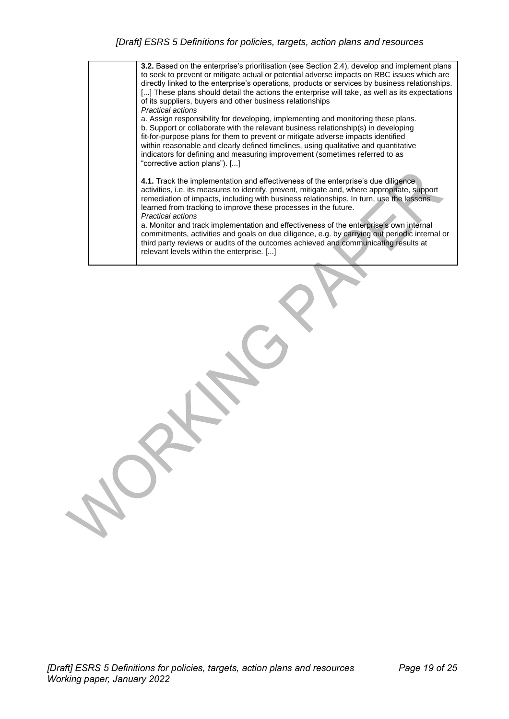| <b>3.2.</b> Based on the enterprise's prioritisation (see Section 2.4), develop and implement plans<br>to seek to prevent or mitigate actual or potential adverse impacts on RBC issues which are<br>directly linked to the enterprise's operations, products or services by business relationships.<br>[] These plans should detail the actions the enterprise will take, as well as its expectations<br>of its suppliers, buyers and other business relationships<br>Practical actions<br>a. Assign responsibility for developing, implementing and monitoring these plans.<br>b. Support or collaborate with the relevant business relationship(s) in developing<br>fit-for-purpose plans for them to prevent or mitigate adverse impacts identified<br>within reasonable and clearly defined timelines, using qualitative and quantitative<br>indicators for defining and measuring improvement (sometimes referred to as<br>"corrective action plans"). [] |
|-----------------------------------------------------------------------------------------------------------------------------------------------------------------------------------------------------------------------------------------------------------------------------------------------------------------------------------------------------------------------------------------------------------------------------------------------------------------------------------------------------------------------------------------------------------------------------------------------------------------------------------------------------------------------------------------------------------------------------------------------------------------------------------------------------------------------------------------------------------------------------------------------------------------------------------------------------------------|
| 4.1. Track the implementation and effectiveness of the enterprise's due diligence<br>activities, i.e. its measures to identify, prevent, mitigate and, where appropriate, support<br>remediation of impacts, including with business relationships. In turn, use the lessons<br>learned from tracking to improve these processes in the future.<br>Practical actions<br>a. Monitor and track implementation and effectiveness of the enterprise's own internal<br>commitments, activities and goals on due diligence, e.g. by carrying out periodic internal or<br>third party reviews or audits of the outcomes achieved and communicating results at<br>relevant levels within the enterprise. []                                                                                                                                                                                                                                                             |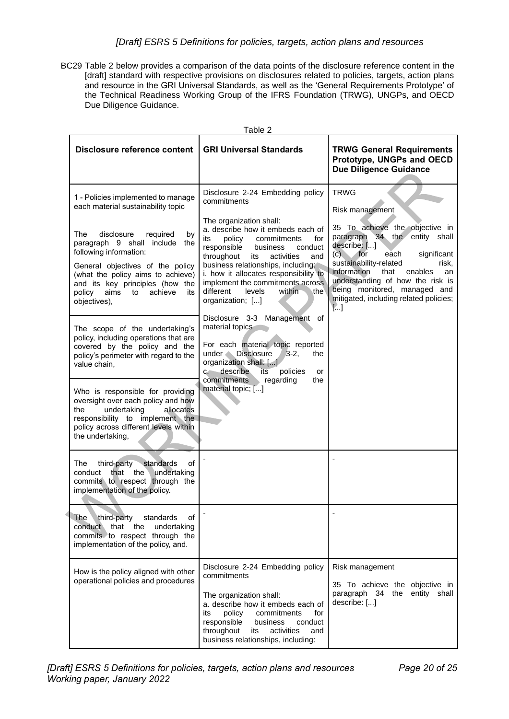#### *[Draft] ESRS 5 Definitions for policies, targets, action plans and resources*

BC29 Table 2 below provides a comparison of the data points of the disclosure reference content in the [draft] standard with respective provisions on disclosures related to policies, targets, action plans and resource in the GRI Universal Standards, as well as the 'General Requirements Prototype' of the Technical Readiness Working Group of the IFRS Foundation (TRWG), UNGPs, and OECD Due Diligence Guidance.

| <b>Table 2</b>                                                                                                                                                                                                                                                       |                                                                                                                                                                                                                                                                                                                                                                     |                                                                                                                                                                                                                                                                                                                                          |  |  |
|----------------------------------------------------------------------------------------------------------------------------------------------------------------------------------------------------------------------------------------------------------------------|---------------------------------------------------------------------------------------------------------------------------------------------------------------------------------------------------------------------------------------------------------------------------------------------------------------------------------------------------------------------|------------------------------------------------------------------------------------------------------------------------------------------------------------------------------------------------------------------------------------------------------------------------------------------------------------------------------------------|--|--|
| <b>Disclosure reference content</b>                                                                                                                                                                                                                                  | <b>GRI Universal Standards</b>                                                                                                                                                                                                                                                                                                                                      | <b>TRWG General Requirements</b><br>Prototype, UNGPs and OECD<br><b>Due Diligence Guidance</b>                                                                                                                                                                                                                                           |  |  |
| 1 - Policies implemented to manage<br>each material sustainability topic                                                                                                                                                                                             | Disclosure 2-24 Embedding policy<br>commitments                                                                                                                                                                                                                                                                                                                     | <b>TRWG</b><br>Risk management                                                                                                                                                                                                                                                                                                           |  |  |
| The<br>disclosure<br>required<br>by<br>paragraph 9 shall include the<br>following information:<br>General objectives of the policy<br>(what the policy aims to achieve)<br>and its key principles (how the<br>aims<br>achieve<br>policy<br>to<br>its<br>objectives), | The organization shall:<br>a. describe how it embeds each of<br>its<br>policy<br>commitments<br>for<br>responsible<br>business<br>conduct<br>throughout<br>activities<br>its<br>and<br>business relationships, including;<br>i. how it allocates responsibility to<br>implement the commitments across<br>different<br>levels<br>within<br>∖the<br>organization; [] | 35 To achieve the objective in<br>paragraph 34 the<br>entity shall<br>describe: []<br>$(c)$ for<br>each<br>significant<br>sustainability-related<br>risk,<br>information<br>that<br>enables<br>an<br>understanding of how the risk is<br>being monitored, managed and<br>mitigated, including related policies;<br>$\left[\ldots\right]$ |  |  |
| The scope of the undertaking's<br>policy, including operations that are<br>covered by the policy and the<br>policy's perimeter with regard to the<br>value chain,                                                                                                    | Disclosure 3-3 Management of<br>material topics<br>For each material topic reported<br>under <b>Disclosure</b><br>$3-2,$<br>the<br>organization shall: []<br>c. describe<br>its<br>policies<br>or<br>commitments<br>regarding<br>the                                                                                                                                |                                                                                                                                                                                                                                                                                                                                          |  |  |
| Who is responsible for providing<br>oversight over each policy and how<br>undertaking<br>allocates<br>the<br>responsibility to implement the<br>policy across different levels within<br>the undertaking,                                                            | material topic; []                                                                                                                                                                                                                                                                                                                                                  |                                                                                                                                                                                                                                                                                                                                          |  |  |
| third-party<br>standards<br>of<br>The<br>that the<br>conduct<br>undertaking<br>commits to respect through the<br>implementation of the policy.                                                                                                                       |                                                                                                                                                                                                                                                                                                                                                                     |                                                                                                                                                                                                                                                                                                                                          |  |  |
| The<br>third-party<br>standards<br>οf<br>conduct that the<br>undertaking<br>commits to respect through the<br>implementation of the policy, and.                                                                                                                     |                                                                                                                                                                                                                                                                                                                                                                     |                                                                                                                                                                                                                                                                                                                                          |  |  |
| How is the policy aligned with other<br>operational policies and procedures                                                                                                                                                                                          | Disclosure 2-24 Embedding policy<br>commitments<br>The organization shall:<br>a. describe how it embeds each of<br>its<br>policy<br>commitments<br>for<br>responsible<br>business<br>conduct<br>throughout<br>activities<br>its<br>and<br>business relationships, including:                                                                                        | Risk management<br>35 To achieve the objective in<br>paragraph 34<br>the entity shall<br>describe: []                                                                                                                                                                                                                                    |  |  |

 $T$ able 2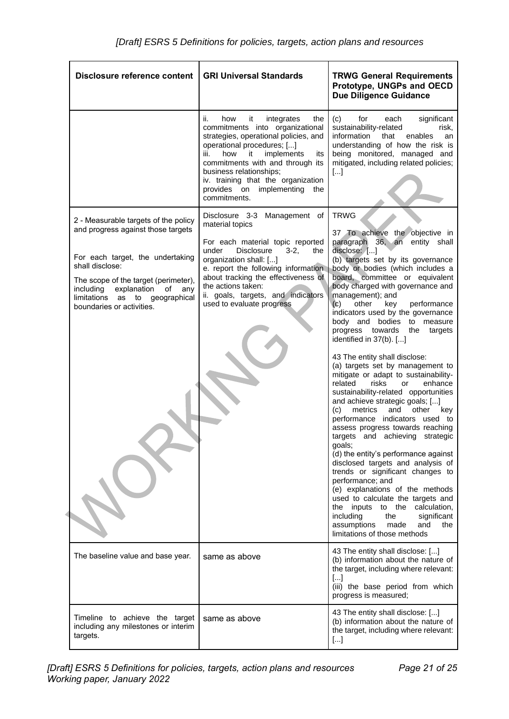| <b>Disclosure reference content</b>                                                                                                                                                                                                                                            | <b>GRI Universal Standards</b>                                                                                                                                                                                                                                                                                                                    | <b>TRWG General Requirements</b><br>Prototype, UNGPs and OECD<br><b>Due Diligence Guidance</b>                                                                                                                                                                                                                                                                                                                                                                                                                                                                                                                                                                                                                                                                                                                                                                                                                                                                                                                                                                                                                                                                                                    |
|--------------------------------------------------------------------------------------------------------------------------------------------------------------------------------------------------------------------------------------------------------------------------------|---------------------------------------------------------------------------------------------------------------------------------------------------------------------------------------------------------------------------------------------------------------------------------------------------------------------------------------------------|---------------------------------------------------------------------------------------------------------------------------------------------------------------------------------------------------------------------------------------------------------------------------------------------------------------------------------------------------------------------------------------------------------------------------------------------------------------------------------------------------------------------------------------------------------------------------------------------------------------------------------------------------------------------------------------------------------------------------------------------------------------------------------------------------------------------------------------------------------------------------------------------------------------------------------------------------------------------------------------------------------------------------------------------------------------------------------------------------------------------------------------------------------------------------------------------------|
|                                                                                                                                                                                                                                                                                | ii.<br>how<br>it<br>integrates<br>the<br>commitments into organizational<br>strategies, operational policies, and<br>operational procedures; []<br>implements<br>how<br>it<br>iii.<br>its<br>commitments with and through its<br>business relationships;<br>iv. training that the organization<br>provides on implementing<br>the<br>commitments. | (c)<br>for<br>significant<br>each<br>sustainability-related<br>risk,<br>information<br>that<br>enables<br>an<br>understanding of how the risk is<br>being monitored, managed and<br>mitigated, including related policies;<br>[]                                                                                                                                                                                                                                                                                                                                                                                                                                                                                                                                                                                                                                                                                                                                                                                                                                                                                                                                                                  |
| 2 - Measurable targets of the policy<br>and progress against those targets<br>For each target, the undertaking<br>shall disclose:<br>The scope of the target (perimeter),<br>including<br>explanation of<br>any<br>limitations as to geographical<br>boundaries or activities. | Disclosure 3-3 Management of<br>material topics<br>For each material topic reported<br><b>Disclosure</b><br>$3-2,$<br>under<br>the<br>organization shall: []<br>e. report the following information.<br>about tracking the effectiveness of<br>the actions taken:<br>ii. goals, targets, and indicators<br>used to evaluate progress              | <b>TRWG</b><br>37 To achieve the objective in<br>paragraph 36, an entity shall<br>disclose: []<br>(b) targets set by its governance<br>body or bodies (which includes a<br>board, committee or equivalent<br>body charged with governance and<br>management); and<br>(c)<br>other<br>key<br>performance<br>indicators used by the governance<br>body and bodies to measure<br>progress towards<br>the<br>targets<br>identified in 37(b). []<br>43 The entity shall disclose:<br>(a) targets set by management to<br>mitigate or adapt to sustainability-<br>related<br>risks<br>enhance<br>or<br>sustainability-related opportunities<br>and achieve strategic goals; []<br>(c)<br>metrics<br>and<br>other<br>key<br>performance indicators used to<br>assess progress towards reaching<br>targets and achieving strategic<br>goals;<br>(d) the entity's performance against<br>disclosed targets and analysis of<br>trends or significant changes to<br>performance; and<br>(e) explanations of the methods<br>used to calculate the targets and<br>the<br>inputs to the<br>calculation,<br>including<br>the<br>significant<br>assumptions<br>made<br>and<br>the<br>limitations of those methods |
| The baseline value and base year.                                                                                                                                                                                                                                              | same as above                                                                                                                                                                                                                                                                                                                                     | 43 The entity shall disclose: []<br>(b) information about the nature of<br>the target, including where relevant:<br>[]<br>(iii) the base period from which<br>progress is measured;                                                                                                                                                                                                                                                                                                                                                                                                                                                                                                                                                                                                                                                                                                                                                                                                                                                                                                                                                                                                               |
| Timeline to achieve the target<br>including any milestones or interim<br>targets.                                                                                                                                                                                              | same as above                                                                                                                                                                                                                                                                                                                                     | 43 The entity shall disclose: []<br>(b) information about the nature of<br>the target, including where relevant:<br>$[]$                                                                                                                                                                                                                                                                                                                                                                                                                                                                                                                                                                                                                                                                                                                                                                                                                                                                                                                                                                                                                                                                          |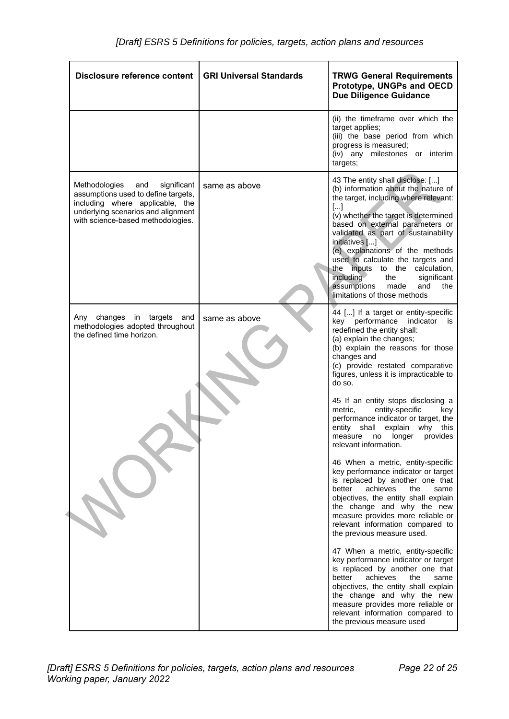| Disclosure reference content                                                                                                                                                             | <b>GRI Universal Standards</b> | <b>TRWG General Requirements</b><br>Prototype, UNGPs and OECD<br><b>Due Diligence Guidance</b>                                                                                                                                                                                                                                                                                                                                                                                 |
|------------------------------------------------------------------------------------------------------------------------------------------------------------------------------------------|--------------------------------|--------------------------------------------------------------------------------------------------------------------------------------------------------------------------------------------------------------------------------------------------------------------------------------------------------------------------------------------------------------------------------------------------------------------------------------------------------------------------------|
|                                                                                                                                                                                          |                                | (ii) the timeframe over which the<br>target applies;<br>(iii) the base period from which<br>progress is measured;<br>(iv) any milestones or interim<br>targets;                                                                                                                                                                                                                                                                                                                |
| Methodologies<br>and<br>significant<br>assumptions used to define targets,<br>including where applicable, the<br>underlying scenarios and alignment<br>with science-based methodologies. | same as above                  | 43 The entity shall disclose: []<br>(b) information about the nature of<br>the target, including where relevant:<br>$[]$<br>(v) whether the target is determined<br>based on external parameters or<br>validated as part of sustainability<br>initiatives []<br>(e) explanations of the methods<br>used to calculate the targets and<br>the inputs to the calculation,<br>including<br>significant<br>the<br>assumptions<br>made<br>and<br>the<br>limitations of those methods |
| Any<br>changes in targets<br>and<br>methodologies adopted throughout<br>the defined time horizon.                                                                                        | same as above                  | 44 [] If a target or entity-specific<br>performance<br>indicator<br>kev<br>is<br>redefined the entity shall:<br>(a) explain the changes;<br>(b) explain the reasons for those<br>changes and<br>(c) provide restated comparative<br>figures, unless it is impracticable to<br>do so.                                                                                                                                                                                           |
|                                                                                                                                                                                          |                                | 45 If an entity stops disclosing a<br>entity-specific<br>metric,<br>key<br>performance indicator or target, the<br>entity shall<br>explain<br>this<br>why<br>longer<br>provides<br>measure<br>no<br>relevant information.                                                                                                                                                                                                                                                      |
|                                                                                                                                                                                          |                                | 46 When a metric, entity-specific<br>key performance indicator or target<br>is replaced by another one that<br>better<br>achieves<br>the<br>same<br>objectives, the entity shall explain<br>the change and why the new<br>measure provides more reliable or<br>relevant information compared to<br>the previous measure used.                                                                                                                                                  |
|                                                                                                                                                                                          |                                | 47 When a metric, entity-specific<br>key performance indicator or target<br>is replaced by another one that<br>better<br>achieves<br>same<br>the<br>objectives, the entity shall explain<br>the change and why the new<br>measure provides more reliable or<br>relevant information compared to<br>the previous measure used                                                                                                                                                   |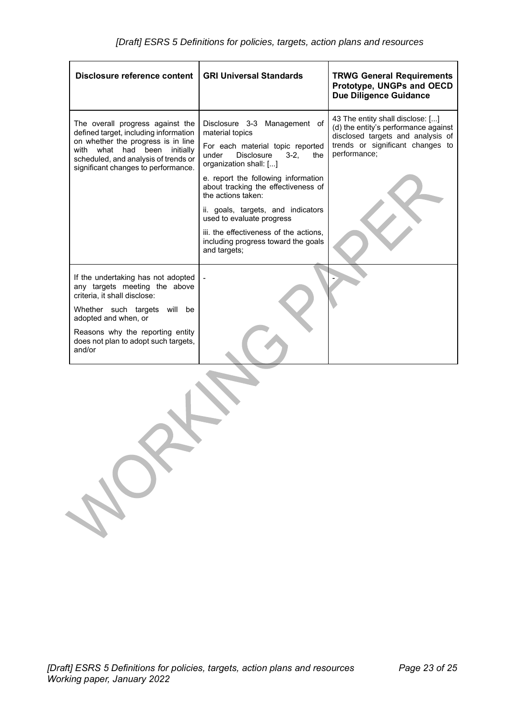| Disclosure reference content                                                                                                                                                                                                                         | <b>GRI Universal Standards</b>                                                                                                                                                                                                                                                                                                                                                                                                  | <b>TRWG General Requirements</b><br>Prototype, UNGPs and OECD<br><b>Due Diligence Guidance</b>                                                                    |
|------------------------------------------------------------------------------------------------------------------------------------------------------------------------------------------------------------------------------------------------------|---------------------------------------------------------------------------------------------------------------------------------------------------------------------------------------------------------------------------------------------------------------------------------------------------------------------------------------------------------------------------------------------------------------------------------|-------------------------------------------------------------------------------------------------------------------------------------------------------------------|
| The overall progress against the<br>defined target, including information<br>on whether the progress is in line<br>had<br>been<br>initially<br>with<br>what<br>scheduled, and analysis of trends or<br>significant changes to performance.           | Disclosure 3-3 Management of<br>material topics<br>For each material topic reported<br>Disclosure<br>$3 - 2.$<br>under<br>the<br>organization shall: []<br>e. report the following information<br>about tracking the effectiveness of<br>the actions taken:<br>ii. goals, targets, and indicators<br>used to evaluate progress<br>iii. the effectiveness of the actions.<br>including progress toward the goals<br>and targets; | 43 The entity shall disclose: []<br>(d) the entity's performance against<br>disclosed targets and analysis of<br>trends or significant changes to<br>performance; |
| If the undertaking has not adopted<br>any targets meeting the above<br>criteria, it shall disclose:<br>Whether such targets will<br>be<br>adopted and when, or<br>Reasons why the reporting entity<br>does not plan to adopt such targets,<br>and/or |                                                                                                                                                                                                                                                                                                                                                                                                                                 |                                                                                                                                                                   |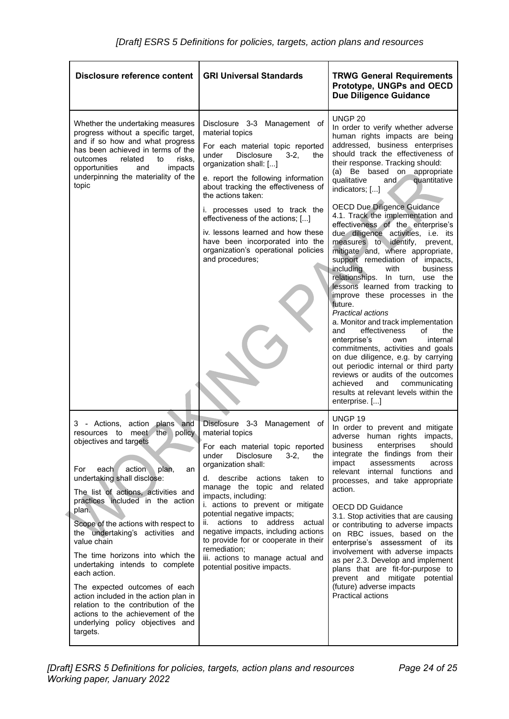| <b>Disclosure reference content</b>                                                                                                                                                                                                                                                                                                                                                                                                                                                                                                                                                                                                              | <b>GRI Universal Standards</b>                                                                                                                                                                                                                                                                                                                                                                                                                                                                                                       | <b>TRWG General Requirements</b><br>Prototype, UNGPs and OECD<br><b>Due Diligence Guidance</b>                                                                                                                                                                                                                                                                                                                                                                                                                                                                                                                                                                                                                                                                                                                                                                                                                                                                                                                                                                                                               |
|--------------------------------------------------------------------------------------------------------------------------------------------------------------------------------------------------------------------------------------------------------------------------------------------------------------------------------------------------------------------------------------------------------------------------------------------------------------------------------------------------------------------------------------------------------------------------------------------------------------------------------------------------|--------------------------------------------------------------------------------------------------------------------------------------------------------------------------------------------------------------------------------------------------------------------------------------------------------------------------------------------------------------------------------------------------------------------------------------------------------------------------------------------------------------------------------------|--------------------------------------------------------------------------------------------------------------------------------------------------------------------------------------------------------------------------------------------------------------------------------------------------------------------------------------------------------------------------------------------------------------------------------------------------------------------------------------------------------------------------------------------------------------------------------------------------------------------------------------------------------------------------------------------------------------------------------------------------------------------------------------------------------------------------------------------------------------------------------------------------------------------------------------------------------------------------------------------------------------------------------------------------------------------------------------------------------------|
| Whether the undertaking measures<br>progress without a specific target,<br>and if so how and what progress<br>has been achieved in terms of the<br>outcomes<br>related<br>to<br>risks,<br>impacts<br>opportunities<br>and<br>underpinning the materiality of the<br>topic                                                                                                                                                                                                                                                                                                                                                                        | Disclosure 3-3 Management of<br>material topics<br>For each material topic reported<br>under<br>Disclosure<br>$3-2,$<br>the<br>organization shall: []<br>e. report the following information<br>about tracking the effectiveness of<br>the actions taken:<br>i. processes used to track the<br>effectiveness of the actions; []<br>iv. lessons learned and how these<br>have been incorporated into the<br>organization's operational policies<br>and procedures;                                                                    | <b>UNGP 20</b><br>In order to verify whether adverse<br>human rights impacts are being<br>addressed, business enterprises<br>should track the effectiveness of<br>their response. Tracking should:<br>(a) Be based on appropriate<br>qualitative<br>and $\blacksquare$<br>quantitative<br>indicators; []<br><b>OECD Due Diligence Guidance</b><br>4.1. Track the implementation and<br>effectiveness of the enterprise's<br>due diligence activities, i.e. its<br>measures to identify, prevent,<br>mitigate and, where appropriate,<br>support remediation of impacts,<br>including<br>with<br>business<br>relationships. In turn, use the<br>lessons learned from tracking to<br>improve these processes in the<br>future.<br><b>Practical actions</b><br>a. Monitor and track implementation<br>effectiveness<br>the<br>and<br>οf<br>enterprise's<br>internal<br>own<br>commitments, activities and goals<br>on due diligence, e.g. by carrying<br>out periodic internal or third party<br>reviews or audits of the outcomes<br>achieved<br>and<br>communicating<br>results at relevant levels within the |
| - Actions, action plans and<br>3<br>resources to meet the<br>policy<br>objectives and targets<br>For<br>action<br>each<br>plan,<br>an<br>undertaking shall disclose:<br>The list of actions, activities and<br>practices included in the action<br>plan.<br>Scope of the actions with respect to<br>the undertaking's activities and<br>value chain<br>The time horizons into which the<br>undertaking intends to complete<br>each action.<br>The expected outcomes of each<br>action included in the action plan in<br>relation to the contribution of the<br>actions to the achievement of the<br>underlying policy objectives and<br>targets. | Disclosure 3-3<br>Management of<br>material topics<br>For each material topic reported<br>under<br><b>Disclosure</b><br>$3-2,$<br>the<br>organization shall:<br>d. describe<br>actions taken to<br>manage the topic and related<br>impacts, including:<br>i. actions to prevent or mitigate<br>potential negative impacts;<br>actions to address<br>ii.<br>actual<br>negative impacts, including actions<br>to provide for or cooperate in their<br>remediation;<br>iii. actions to manage actual and<br>potential positive impacts. | enterprise. []<br>UNGP <sub>19</sub><br>In order to prevent and mitigate<br>adverse human rights impacts,<br>should<br>enterprises<br>business<br>integrate the findings from their<br>assessments<br>impact<br>across<br>relevant internal functions and<br>processes, and take appropriate<br>action.<br><b>OECD DD Guidance</b><br>3.1. Stop activities that are causing<br>or contributing to adverse impacts<br>on RBC issues, based on the<br>enterprise's assessment of its<br>involvement with adverse impacts<br>as per 2.3. Develop and implement<br>plans that are fit-for-purpose to<br>prevent and mitigate<br>potential<br>(future) adverse impacts<br>Practical actions                                                                                                                                                                                                                                                                                                                                                                                                                       |